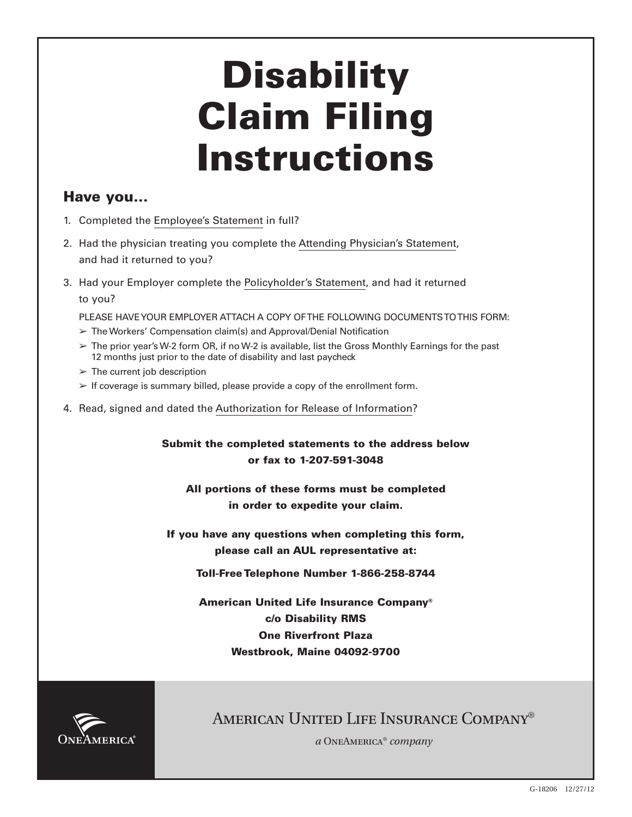# **Disability Claim Filing Instructions**

## **Have you...**

- 1. Completed the Employee's Statement in full?
- 2. Had the physician treating you complete the Attending Physician's Statement, and had it returned to you?
- 3. Had your Employer complete the Policyholder's Statement, and had it returned to you?

PLEASE HAVE YOUR EMPLOYER ATTACH A COPY OF THE FOLLOWING DOCUMENTS TO THIS FORM:

- $\triangleright$  The Workers' Compensation claim(s) and Approval/Denial Notification
- $\geq$  The prior year's W-2 form OR, if no W-2 is available, list the Gross Monthly Earnings for the past 12 months just prior to the date of disability and last paycheck
- $\geq$  The current job description
- $\geq$  If coverage is summary billed, please provide a copy of the enrollment form.
- 4. Read, signed and dated the Authorization for Release of Information?

**Submit the completed statements to the address below or fax to 1-207-591-3048**

**All portions of these forms must be completed in order to expedite your claim.**

**If you have any questions when completing this form, please call an AUL representative at:**

**Toll-Free Telephone Number 1-866-258-8744**

**American United Life Insurance Company® c/o Disability RMS One Riverfront Plaza Westbrook, Maine 04092-9700**



# AMERICAN UNITED LIFE INSURANCE COMPANY®

*a* OneAmerica® *company*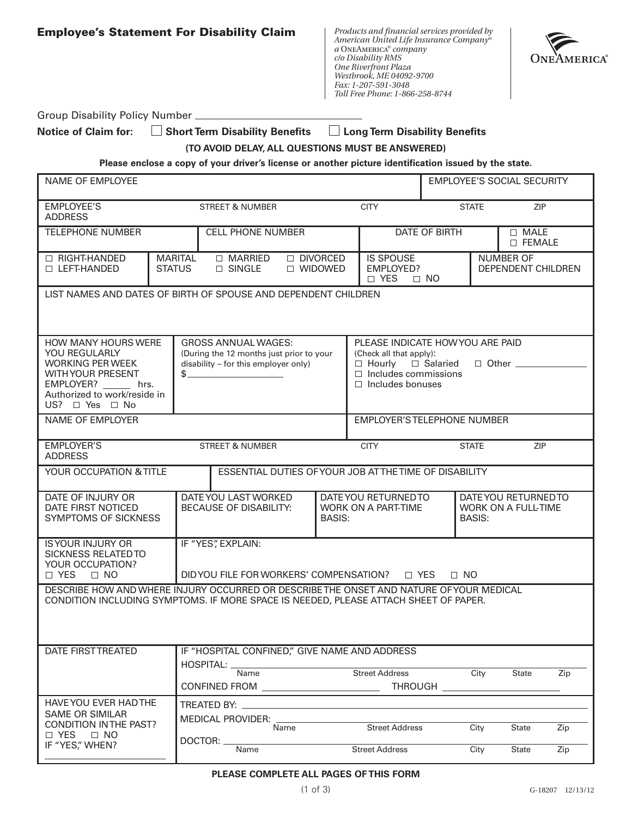|  | <b>Employee's Statement For Disability Claim</b> |  |  |  |
|--|--------------------------------------------------|--|--|--|
|--|--------------------------------------------------|--|--|--|

*Products and financial services provided by American United Life Insurance Company® a* OneAmerica*® company c/o Disability RMS One Riverfront Plaza Westbrook, ME 04092-9700 Fax: 1-207-591-3048 Toll Free Phone: 1-866-258-8744*



| <b>Group Disability Policy Number</b> |  |  |
|---------------------------------------|--|--|
|---------------------------------------|--|--|

Notice of Claim for:  $\Box$  Short Term Disability Benefits  $\Box$  Long Term Disability Benefits

**(TO AVOID DELAY, ALL QUESTIONS MUST BE ANSWERED)**

**Please enclose a copy of your driver's license or another picture identification issued by the state.**

| NAME OF EMPLOYEE                                                                                                                                                          |                                 |                                                                                                                |                         |                                                                                                    | <b>EMPLOYEE'S SOCIAL SECURITY</b>              |                                                    |     |
|---------------------------------------------------------------------------------------------------------------------------------------------------------------------------|---------------------------------|----------------------------------------------------------------------------------------------------------------|-------------------------|----------------------------------------------------------------------------------------------------|------------------------------------------------|----------------------------------------------------|-----|
| <b>EMPLOYEE'S</b><br><b>ADDRESS</b>                                                                                                                                       |                                 | <b>STREET &amp; NUMBER</b>                                                                                     |                         | <b>CITY</b>                                                                                        | <b>STATE</b>                                   | <b>ZIP</b>                                         |     |
| <b>TELEPHONE NUMBER</b>                                                                                                                                                   |                                 | <b>CELL PHONE NUMBER</b>                                                                                       |                         |                                                                                                    | DATE OF BIRTH                                  | $\Box$ MALE<br><b>D FEMALE</b>                     |     |
| □ RIGHT-HANDED<br><b>LEFT-HANDED</b>                                                                                                                                      | <b>MARITAL</b><br><b>STATUS</b> | $\Box$ MARRIED<br>$\Box$ SINGLE                                                                                | □ DIVORCED<br>□ WIDOWED | <b>IS SPOUSE</b><br>EMPLOYED?<br>□ YES                                                             | $\Box$ NO                                      | <b>NUMBER OF</b><br>DEPENDENT CHILDREN             |     |
| LIST NAMES AND DATES OF BIRTH OF SPOUSE AND DEPENDENT CHILDREN                                                                                                            |                                 |                                                                                                                |                         |                                                                                                    |                                                |                                                    |     |
| HOW MANY HOURS WERE<br>YOU REGULARLY<br><b>WORKING PER WEEK</b><br><b>WITH YOUR PRESENT</b><br>EMPLOYER? hrs.<br>Authorized to work/reside in<br>US? $\Box$ Yes $\Box$ No | \$_                             | <b>GROSS ANNUAL WAGES:</b><br>(During the 12 months just prior to your<br>disability - for this employer only) |                         | (Check all that apply):<br>$\Box$ Hourly<br>$\Box$ Includes commissions<br>$\Box$ Includes bonuses | PLEASE INDICATE HOW YOU ARE PAID<br>□ Salaried | $\Box$ Other $\_\_\_\_\_\_\_\_\_\_\_\_\_$          |     |
| NAME OF EMPLOYER                                                                                                                                                          |                                 |                                                                                                                |                         |                                                                                                    | <b>EMPLOYER'S TELEPHONE NUMBER</b>             |                                                    |     |
| <b>EMPLOYER'S</b><br><b>ADDRESS</b>                                                                                                                                       |                                 | <b>STREET &amp; NUMBER</b>                                                                                     |                         | <b>CITY</b>                                                                                        | <b>STATE</b>                                   | <b>ZIP</b>                                         |     |
| YOUR OCCUPATION & TITLE                                                                                                                                                   |                                 |                                                                                                                |                         | ESSENTIAL DUTIES OF YOUR JOB AT THE TIME OF DISABILITY                                             |                                                |                                                    |     |
| DATE OF INJURY OR<br>DATE FIRST NOTICED<br>SYMPTOMS OF SICKNESS                                                                                                           |                                 | DATE YOU LAST WORKED<br>BECAUSE OF DISABILITY:<br><b>BASIS:</b>                                                |                         | DATE YOU RETURNED TO<br>WORK ON A PART-TIME                                                        | <b>BASIS:</b>                                  | DATE YOU RETURNED TO<br><b>WORK ON A FULL-TIME</b> |     |
| <b>IS YOUR INJURY OR</b><br><b>SICKNESS RELATED TO</b><br>YOUR OCCUPATION?                                                                                                |                                 | IF "YES", EXPLAIN:                                                                                             |                         |                                                                                                    |                                                |                                                    |     |
| □ YES<br>$\Box$ NO<br>DESCRIBE HOW AND WHERE INJURY OCCURRED OR DESCRIBETHE ONSET AND NATURE OF YOUR MEDICAL                                                              |                                 | DID YOU FILE FOR WORKERS' COMPENSATION?                                                                        |                         | □ YES                                                                                              | $\Box$ NO                                      |                                                    |     |
| CONDITION INCLUDING SYMPTOMS. IF MORE SPACE IS NEEDED, PLEASE ATTACH SHEET OF PAPER.                                                                                      |                                 |                                                                                                                |                         |                                                                                                    |                                                |                                                    |     |
| DATE FIRST TREATED                                                                                                                                                        |                                 | IF "HOSPITAL CONFINED," GIVE NAME AND ADDRESS<br>HOSPITAL: _<br>Name                                           |                         | Street Address                                                                                     | City                                           | <b>State</b>                                       | Zip |
| HAVE YOU EVER HAD THE<br><b>SAME OR SIMILAR</b>                                                                                                                           |                                 |                                                                                                                |                         |                                                                                                    |                                                |                                                    |     |
| CONDITION IN THE PAST?<br>$\Box$ YES $\Box$ NO                                                                                                                            |                                 | MEDICAL PROVIDER: ____<br>DOCTOR:                                                                              | Name                    | <b>Street Address</b>                                                                              | City                                           | State                                              | Zip |
| IF "YES," WHEN?                                                                                                                                                           |                                 | <b>Name</b>                                                                                                    |                         | <b>Street Address</b>                                                                              | City                                           | State                                              | Zip |

#### **PLEASE COMPLETE ALL PAGES OF THIS FORM**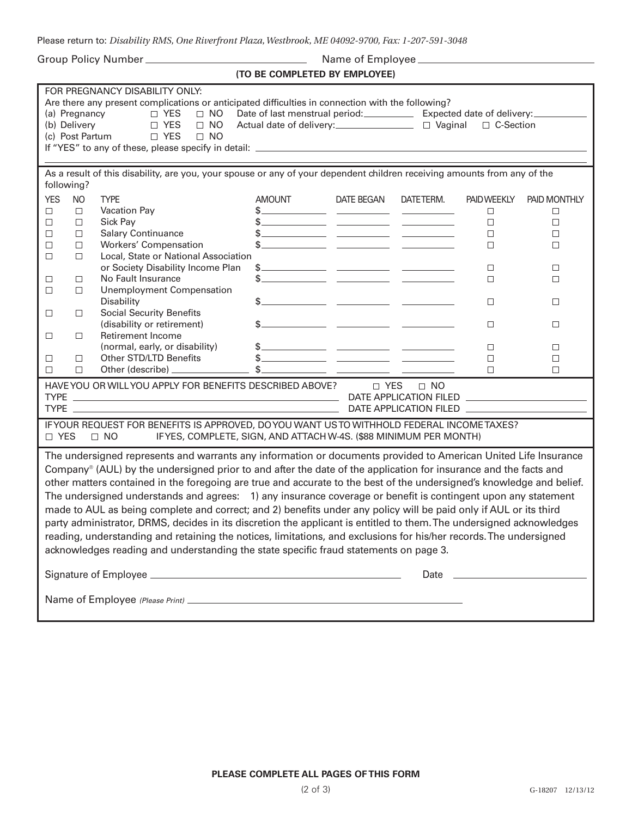Please return to: *Disability RMS, One Riverfront Plaza, Westbrook, ME 04092-9700, Fax: 1-207-591-3048*

Group Policy Number Name of Employee

**(TO BE COMPLETED BY EMPLOYEE)**

| FOR PREGNANCY DISABILITY ONLY:<br>Are there any present complications or anticipated difficulties in connection with the following?<br>$\Box$ YES $\Box$ NO<br>Date of last menstrual period:_____________ Expected date of delivery:_________<br>(a) Pregnancy<br>D YES<br>Actual date of delivery:<br><u> </u> □ Vaginal □ C-Section<br>(b) Delivery<br>$\Box$ NO<br>□ YES<br>(c) Post Partum<br>$\Box$ NO |                                                                                       |                                                                                                                          |                                                                                                                                                                                                                                                                                                                     |            |           |                                    |              |
|--------------------------------------------------------------------------------------------------------------------------------------------------------------------------------------------------------------------------------------------------------------------------------------------------------------------------------------------------------------------------------------------------------------|---------------------------------------------------------------------------------------|--------------------------------------------------------------------------------------------------------------------------|---------------------------------------------------------------------------------------------------------------------------------------------------------------------------------------------------------------------------------------------------------------------------------------------------------------------|------------|-----------|------------------------------------|--------------|
| following?                                                                                                                                                                                                                                                                                                                                                                                                   |                                                                                       | As a result of this disability, are you, your spouse or any of your dependent children receiving amounts from any of the |                                                                                                                                                                                                                                                                                                                     |            |           |                                    |              |
| <b>YES</b>                                                                                                                                                                                                                                                                                                                                                                                                   | <b>NO</b>                                                                             | <b>TYPE</b>                                                                                                              | <b>AMOUNT</b>                                                                                                                                                                                                                                                                                                       | DATE BEGAN | DATETERM. | <b>PAID WEEKLY</b>                 | PAID MONTHLY |
| $\Box$                                                                                                                                                                                                                                                                                                                                                                                                       | $\Box$                                                                                | Vacation Pay                                                                                                             | $\frac{1}{2}$ $\frac{1}{2}$ $\frac{1}{2}$ $\frac{1}{2}$ $\frac{1}{2}$ $\frac{1}{2}$ $\frac{1}{2}$ $\frac{1}{2}$ $\frac{1}{2}$ $\frac{1}{2}$ $\frac{1}{2}$ $\frac{1}{2}$ $\frac{1}{2}$ $\frac{1}{2}$ $\frac{1}{2}$ $\frac{1}{2}$ $\frac{1}{2}$ $\frac{1}{2}$ $\frac{1}{2}$ $\frac{1}{2}$ $\frac{1}{2}$ $\frac{1}{2}$ |            |           | $\Box$                             | □            |
| $\Box$                                                                                                                                                                                                                                                                                                                                                                                                       | $\Box$                                                                                | Sick Pay                                                                                                                 |                                                                                                                                                                                                                                                                                                                     |            |           | $\Box$                             | $\Box$       |
| □                                                                                                                                                                                                                                                                                                                                                                                                            | $\Box$                                                                                | <b>Salary Continuance</b>                                                                                                |                                                                                                                                                                                                                                                                                                                     |            |           | $\Box$                             | $\Box$       |
| □                                                                                                                                                                                                                                                                                                                                                                                                            | $\Box$                                                                                | <b>Workers' Compensation</b>                                                                                             | $\frac{1}{2}$ $\frac{1}{2}$ $\frac{1}{2}$ $\frac{1}{2}$ $\frac{1}{2}$ $\frac{1}{2}$ $\frac{1}{2}$ $\frac{1}{2}$ $\frac{1}{2}$ $\frac{1}{2}$ $\frac{1}{2}$ $\frac{1}{2}$ $\frac{1}{2}$ $\frac{1}{2}$ $\frac{1}{2}$ $\frac{1}{2}$ $\frac{1}{2}$ $\frac{1}{2}$ $\frac{1}{2}$ $\frac{1}{2}$ $\frac{1}{2}$ $\frac{1}{2}$ |            |           | □                                  | $\Box$       |
| $\Box$                                                                                                                                                                                                                                                                                                                                                                                                       | $\Box$                                                                                | Local, State or National Association                                                                                     |                                                                                                                                                                                                                                                                                                                     |            |           |                                    |              |
|                                                                                                                                                                                                                                                                                                                                                                                                              |                                                                                       | or Society Disability Income Plan                                                                                        |                                                                                                                                                                                                                                                                                                                     |            |           | $\Box$                             | $\Box$       |
| □                                                                                                                                                                                                                                                                                                                                                                                                            | $\Box$                                                                                | No Fault Insurance                                                                                                       | \$_                                                                                                                                                                                                                                                                                                                 |            |           | □                                  | $\Box$       |
| $\Box$                                                                                                                                                                                                                                                                                                                                                                                                       | $\Box$                                                                                | <b>Unemployment Compensation</b>                                                                                         |                                                                                                                                                                                                                                                                                                                     |            |           |                                    |              |
|                                                                                                                                                                                                                                                                                                                                                                                                              |                                                                                       | Disability                                                                                                               | $\frac{1}{2}$ $\frac{1}{2}$ $\frac{1}{2}$ $\frac{1}{2}$ $\frac{1}{2}$ $\frac{1}{2}$ $\frac{1}{2}$ $\frac{1}{2}$ $\frac{1}{2}$ $\frac{1}{2}$ $\frac{1}{2}$ $\frac{1}{2}$ $\frac{1}{2}$ $\frac{1}{2}$ $\frac{1}{2}$ $\frac{1}{2}$ $\frac{1}{2}$ $\frac{1}{2}$ $\frac{1}{2}$ $\frac{1}{2}$ $\frac{1}{2}$ $\frac{1}{2}$ |            |           | $\Box$                             | $\Box$       |
| □                                                                                                                                                                                                                                                                                                                                                                                                            | $\Box$                                                                                | <b>Social Security Benefits</b>                                                                                          |                                                                                                                                                                                                                                                                                                                     |            |           |                                    |              |
|                                                                                                                                                                                                                                                                                                                                                                                                              |                                                                                       | (disability or retirement)                                                                                               | $\frac{1}{2}$ $\frac{1}{2}$ $\frac{1}{2}$ $\frac{1}{2}$ $\frac{1}{2}$ $\frac{1}{2}$ $\frac{1}{2}$ $\frac{1}{2}$ $\frac{1}{2}$ $\frac{1}{2}$ $\frac{1}{2}$ $\frac{1}{2}$ $\frac{1}{2}$ $\frac{1}{2}$ $\frac{1}{2}$ $\frac{1}{2}$ $\frac{1}{2}$ $\frac{1}{2}$ $\frac{1}{2}$ $\frac{1}{2}$ $\frac{1}{2}$ $\frac{1}{2}$ |            |           | $\Box$                             | □            |
| $\Box$                                                                                                                                                                                                                                                                                                                                                                                                       | $\Box$                                                                                | Retirement Income                                                                                                        |                                                                                                                                                                                                                                                                                                                     |            |           |                                    |              |
|                                                                                                                                                                                                                                                                                                                                                                                                              |                                                                                       | (normal, early, or disability)                                                                                           | $\frac{1}{2}$ $\frac{1}{2}$ $\frac{1}{2}$ $\frac{1}{2}$ $\frac{1}{2}$ $\frac{1}{2}$ $\frac{1}{2}$ $\frac{1}{2}$ $\frac{1}{2}$ $\frac{1}{2}$ $\frac{1}{2}$ $\frac{1}{2}$ $\frac{1}{2}$ $\frac{1}{2}$ $\frac{1}{2}$ $\frac{1}{2}$ $\frac{1}{2}$ $\frac{1}{2}$ $\frac{1}{2}$ $\frac{1}{2}$ $\frac{1}{2}$ $\frac{1}{2}$ |            |           | □                                  | □            |
| □                                                                                                                                                                                                                                                                                                                                                                                                            | $\Box$                                                                                | Other STD/LTD Benefits                                                                                                   | $\frac{1}{2}$ $\frac{1}{2}$ $\frac{1}{2}$ $\frac{1}{2}$ $\frac{1}{2}$ $\frac{1}{2}$ $\frac{1}{2}$ $\frac{1}{2}$ $\frac{1}{2}$ $\frac{1}{2}$ $\frac{1}{2}$ $\frac{1}{2}$ $\frac{1}{2}$ $\frac{1}{2}$ $\frac{1}{2}$ $\frac{1}{2}$ $\frac{1}{2}$ $\frac{1}{2}$ $\frac{1}{2}$ $\frac{1}{2}$ $\frac{1}{2}$ $\frac{1}{2}$ |            |           | □                                  | $\Box$       |
| $\Box$                                                                                                                                                                                                                                                                                                                                                                                                       | $\Box$                                                                                |                                                                                                                          |                                                                                                                                                                                                                                                                                                                     |            |           | $\Box$                             | $\Box$       |
|                                                                                                                                                                                                                                                                                                                                                                                                              |                                                                                       | HAVE YOU OR WILL YOU APPLY FOR BENEFITS DESCRIBED ABOVE?                                                                 |                                                                                                                                                                                                                                                                                                                     | $\Box$ YES | $\Box$ NO |                                    |              |
|                                                                                                                                                                                                                                                                                                                                                                                                              |                                                                                       |                                                                                                                          |                                                                                                                                                                                                                                                                                                                     |            |           |                                    |              |
|                                                                                                                                                                                                                                                                                                                                                                                                              |                                                                                       |                                                                                                                          |                                                                                                                                                                                                                                                                                                                     |            |           | DATE APPLICATION FILED ___________ |              |
|                                                                                                                                                                                                                                                                                                                                                                                                              |                                                                                       |                                                                                                                          |                                                                                                                                                                                                                                                                                                                     |            |           |                                    |              |
| □ YES                                                                                                                                                                                                                                                                                                                                                                                                        |                                                                                       | IFYOUR REQUEST FOR BENEFITS IS APPROVED, DO YOU WANT US TO WITHHOLD FEDERAL INCOMETAXES?<br>$\Box$ NO                    | IFYES, COMPLETE, SIGN, AND ATTACH W-4S. (\$88 MINIMUM PER MONTH)                                                                                                                                                                                                                                                    |            |           |                                    |              |
|                                                                                                                                                                                                                                                                                                                                                                                                              |                                                                                       |                                                                                                                          |                                                                                                                                                                                                                                                                                                                     |            |           |                                    |              |
|                                                                                                                                                                                                                                                                                                                                                                                                              |                                                                                       | The undersigned represents and warrants any information or documents provided to American United Life Insurance          |                                                                                                                                                                                                                                                                                                                     |            |           |                                    |              |
|                                                                                                                                                                                                                                                                                                                                                                                                              |                                                                                       | Company® (AUL) by the undersigned prior to and after the date of the application for insurance and the facts and         |                                                                                                                                                                                                                                                                                                                     |            |           |                                    |              |
|                                                                                                                                                                                                                                                                                                                                                                                                              |                                                                                       | other matters contained in the foregoing are true and accurate to the best of the undersigned's knowledge and belief.    |                                                                                                                                                                                                                                                                                                                     |            |           |                                    |              |
|                                                                                                                                                                                                                                                                                                                                                                                                              |                                                                                       |                                                                                                                          |                                                                                                                                                                                                                                                                                                                     |            |           |                                    |              |
|                                                                                                                                                                                                                                                                                                                                                                                                              |                                                                                       | The undersigned understands and agrees: 1) any insurance coverage or benefit is contingent upon any statement            |                                                                                                                                                                                                                                                                                                                     |            |           |                                    |              |
|                                                                                                                                                                                                                                                                                                                                                                                                              |                                                                                       | made to AUL as being complete and correct; and 2) benefits under any policy will be paid only if AUL or its third        |                                                                                                                                                                                                                                                                                                                     |            |           |                                    |              |
|                                                                                                                                                                                                                                                                                                                                                                                                              |                                                                                       | party administrator, DRMS, decides in its discretion the applicant is entitled to them. The undersigned acknowledges     |                                                                                                                                                                                                                                                                                                                     |            |           |                                    |              |
|                                                                                                                                                                                                                                                                                                                                                                                                              |                                                                                       | reading, understanding and retaining the notices, limitations, and exclusions for his/her records. The undersigned       |                                                                                                                                                                                                                                                                                                                     |            |           |                                    |              |
|                                                                                                                                                                                                                                                                                                                                                                                                              |                                                                                       |                                                                                                                          |                                                                                                                                                                                                                                                                                                                     |            |           |                                    |              |
|                                                                                                                                                                                                                                                                                                                                                                                                              | acknowledges reading and understanding the state specific fraud statements on page 3. |                                                                                                                          |                                                                                                                                                                                                                                                                                                                     |            |           |                                    |              |
|                                                                                                                                                                                                                                                                                                                                                                                                              |                                                                                       |                                                                                                                          |                                                                                                                                                                                                                                                                                                                     |            |           |                                    |              |
|                                                                                                                                                                                                                                                                                                                                                                                                              |                                                                                       |                                                                                                                          |                                                                                                                                                                                                                                                                                                                     |            |           |                                    |              |
|                                                                                                                                                                                                                                                                                                                                                                                                              |                                                                                       |                                                                                                                          |                                                                                                                                                                                                                                                                                                                     |            |           |                                    |              |
|                                                                                                                                                                                                                                                                                                                                                                                                              |                                                                                       |                                                                                                                          |                                                                                                                                                                                                                                                                                                                     |            |           |                                    |              |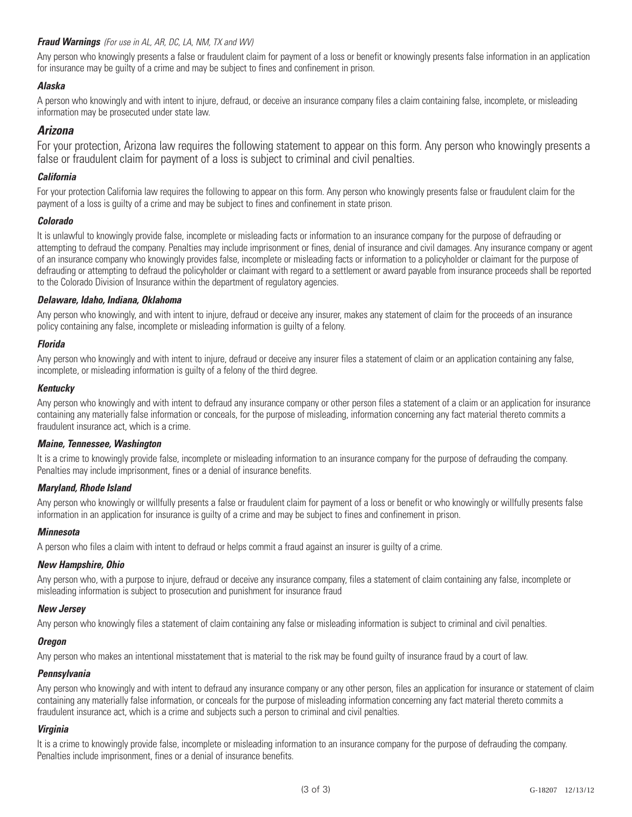Any person who knowingly presents a false or fraudulent claim for payment of a loss or benefit or knowingly presents false information in an application for insurance may be guilty of a crime and may be subject to fines and confinement in prison.

## *Alaska*

A person who knowingly and with intent to injure, defraud, or deceive an insurance company files a claim containing false, incomplete, or misleading information may be prosecuted under state law.

## *Arizona*

For your protection, Arizona law requires the following statement to appear on this form. Any person who knowingly presents a false or fraudulent claim for payment of a loss is subject to criminal and civil penalties.

## *California*

For your protection California law requires the following to appear on this form. Any person who knowingly presents false or fraudulent claim for the payment of a loss is guilty of a crime and may be subject to fines and confinement in state prison.

## *Colorado*

It is unlawful to knowingly provide false, incomplete or misleading facts or information to an insurance company for the purpose of defrauding or attempting to defraud the company. Penalties may include imprisonment or fines, denial of insurance and civil damages. Any insurance company or agent of an insurance company who knowingly provides false, incomplete or misleading facts or information to a policyholder or claimant for the purpose of defrauding or attempting to defraud the policyholder or claimant with regard to a settlement or award payable from insurance proceeds shall be reported to the Colorado Division of Insurance within the department of regulatory agencies.

## *Delaware, Idaho, Indiana, Oklahoma*

Any person who knowingly, and with intent to injure, defraud or deceive any insurer, makes any statement of claim for the proceeds of an insurance policy containing any false, incomplete or misleading information is guilty of a felony.

## *Florida*

Any person who knowingly and with intent to injure, defraud or deceive any insurer files a statement of claim or an application containing any false, incomplete, or misleading information is guilty of a felony of the third degree.

## *Kentucky*

Any person who knowingly and with intent to defraud any insurance company or other person files a statement of a claim or an application for insurance containing any materially false information or conceals, for the purpose of misleading, information concerning any fact material thereto commits a fraudulent insurance act, which is a crime.

## *Maine, Tennessee, Washington*

It is a crime to knowingly provide false, incomplete or misleading information to an insurance company for the purpose of defrauding the company. Penalties may include imprisonment, fines or a denial of insurance benefits.

## *Maryland, Rhode Island*

Any person who knowingly or willfully presents a false or fraudulent claim for payment of a loss or benefit or who knowingly or willfully presents false information in an application for insurance is guilty of a crime and may be subject to fines and confinement in prison.

## *Minnesota*

A person who files a claim with intent to defraud or helps commit a fraud against an insurer is guilty of a crime.

## *New Hampshire, Ohio*

Any person who, with a purpose to injure, defraud or deceive any insurance company, files a statement of claim containing any false, incomplete or misleading information is subject to prosecution and punishment for insurance fraud

## *New Jersey*

Any person who knowingly files a statement of claim containing any false or misleading information is subject to criminal and civil penalties.

## *Oregon*

Any person who makes an intentional misstatement that is material to the risk may be found guilty of insurance fraud by a court of law.

## *Pennsylvania*

Any person who knowingly and with intent to defraud any insurance company or any other person, files an application for insurance or statement of claim containing any materially false information, or conceals for the purpose of misleading information concerning any fact material thereto commits a fraudulent insurance act, which is a crime and subjects such a person to criminal and civil penalties.

## *Virginia*

It is a crime to knowingly provide false, incomplete or misleading information to an insurance company for the purpose of defrauding the company. Penalties include imprisonment, fines or a denial of insurance benefits.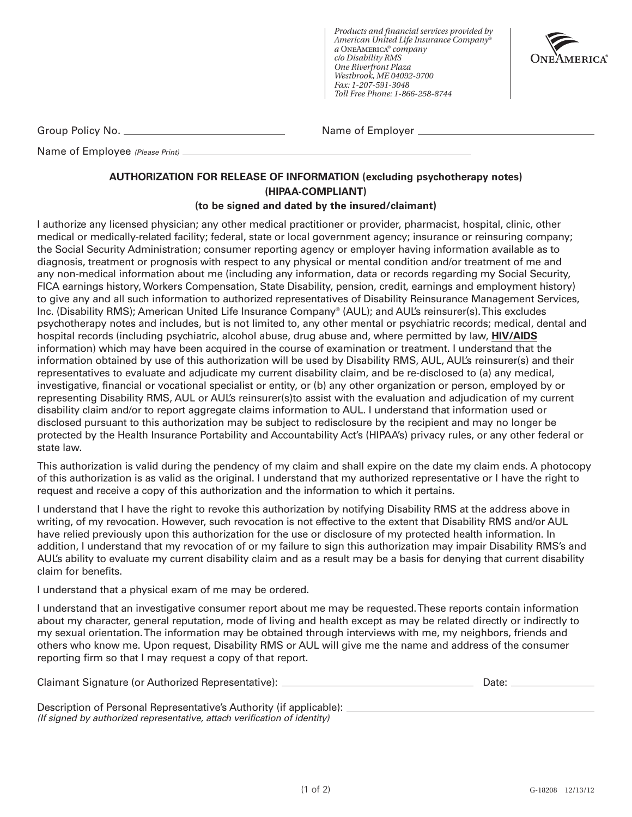*Products and financial services provided by American United Life Insurance Company® a* OneAmerica*® company c/o Disability RMS One Riverfront Plaza Westbrook, ME 04092-9700 Fax: 1-207-591-3048 Toll Free Phone: 1-866-258-8744*



Group Policy No. Name of Employer

Name of Employee *(Please Print)*

## **AUTHORIZATION FOR RELEASE OF INFORMATION (excluding psychotherapy notes) (HIPAA-COMPLIANT)**

## **(to be signed and dated by the insured/claimant)**

I authorize any licensed physician; any other medical practitioner or provider, pharmacist, hospital, clinic, other medical or medically-related facility; federal, state or local government agency; insurance or reinsuring company; the Social Security Administration; consumer reporting agency or employer having information available as to diagnosis, treatment or prognosis with respect to any physical or mental condition and/or treatment of me and any non-medical information about me (including any information, data or records regarding my Social Security, FICA earnings history, Workers Compensation, State Disability, pension, credit, earnings and employment history) to give any and all such information to authorized representatives of Disability Reinsurance Management Services, Inc. (Disability RMS); American United Life Insurance Company® (AUL); and AUL's reinsurer(s). This excludes psychotherapy notes and includes, but is not limited to, any other mental or psychiatric records; medical, dental and hospital records (including psychiatric, alcohol abuse, drug abuse and, where permitted by law, **HIV/AIDS** information) which may have been acquired in the course of examination or treatment. I understand that the information obtained by use of this authorization will be used by Disability RMS, AUL, AUL's reinsurer(s) and their representatives to evaluate and adjudicate my current disability claim, and be re-disclosed to (a) any medical, investigative, financial or vocational specialist or entity, or (b) any other organization or person, employed by or representing Disability RMS, AUL or AUL's reinsurer(s)to assist with the evaluation and adjudication of my current disability claim and/or to report aggregate claims information to AUL. I understand that information used or disclosed pursuant to this authorization may be subject to redisclosure by the recipient and may no longer be protected by the Health Insurance Portability and Accountability Act's (HIPAA's) privacy rules, or any other federal or state law.

This authorization is valid during the pendency of my claim and shall expire on the date my claim ends. A photocopy of this authorization is as valid as the original. I understand that my authorized representative or I have the right to request and receive a copy of this authorization and the information to which it pertains.

I understand that I have the right to revoke this authorization by notifying Disability RMS at the address above in writing, of my revocation. However, such revocation is not effective to the extent that Disability RMS and/or AUL have relied previously upon this authorization for the use or disclosure of my protected health information. In addition, I understand that my revocation of or my failure to sign this authorization may impair Disability RMS's and AUL's ability to evaluate my current disability claim and as a result may be a basis for denying that current disability claim for benefits.

I understand that a physical exam of me may be ordered.

I understand that an investigative consumer report about me may be requested. These reports contain information about my character, general reputation, mode of living and health except as may be related directly or indirectly to my sexual orientation. The information may be obtained through interviews with me, my neighbors, friends and others who know me. Upon request, Disability RMS or AUL will give me the name and address of the consumer reporting firm so that I may request a copy of that report.

| Claimant Signature (or Authorized Representative): | Date: |
|----------------------------------------------------|-------|
|----------------------------------------------------|-------|

| Description of Personal Representative's Authority (if applicable):       |  |
|---------------------------------------------------------------------------|--|
| (If signed by authorized representative, attach verification of identity) |  |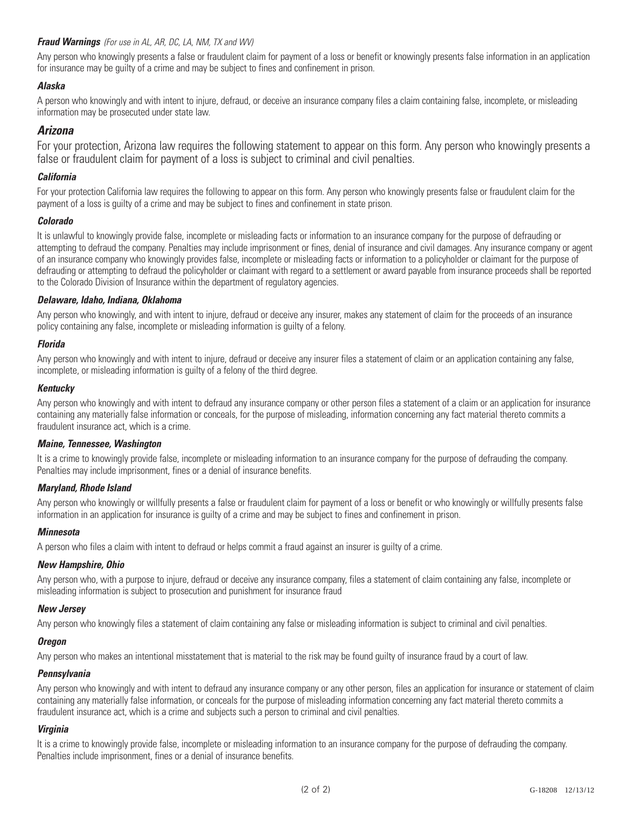Any person who knowingly presents a false or fraudulent claim for payment of a loss or benefit or knowingly presents false information in an application for insurance may be guilty of a crime and may be subject to fines and confinement in prison.

## *Alaska*

A person who knowingly and with intent to injure, defraud, or deceive an insurance company files a claim containing false, incomplete, or misleading information may be prosecuted under state law.

## *Arizona*

For your protection, Arizona law requires the following statement to appear on this form. Any person who knowingly presents a false or fraudulent claim for payment of a loss is subject to criminal and civil penalties.

## *California*

For your protection California law requires the following to appear on this form. Any person who knowingly presents false or fraudulent claim for the payment of a loss is guilty of a crime and may be subject to fines and confinement in state prison.

## *Colorado*

It is unlawful to knowingly provide false, incomplete or misleading facts or information to an insurance company for the purpose of defrauding or attempting to defraud the company. Penalties may include imprisonment or fines, denial of insurance and civil damages. Any insurance company or agent of an insurance company who knowingly provides false, incomplete or misleading facts or information to a policyholder or claimant for the purpose of defrauding or attempting to defraud the policyholder or claimant with regard to a settlement or award payable from insurance proceeds shall be reported to the Colorado Division of Insurance within the department of regulatory agencies.

## *Delaware, Idaho, Indiana, Oklahoma*

Any person who knowingly, and with intent to injure, defraud or deceive any insurer, makes any statement of claim for the proceeds of an insurance policy containing any false, incomplete or misleading information is guilty of a felony.

## *Florida*

Any person who knowingly and with intent to injure, defraud or deceive any insurer files a statement of claim or an application containing any false, incomplete, or misleading information is guilty of a felony of the third degree.

## *Kentucky*

Any person who knowingly and with intent to defraud any insurance company or other person files a statement of a claim or an application for insurance containing any materially false information or conceals, for the purpose of misleading, information concerning any fact material thereto commits a fraudulent insurance act, which is a crime.

## *Maine, Tennessee, Washington*

It is a crime to knowingly provide false, incomplete or misleading information to an insurance company for the purpose of defrauding the company. Penalties may include imprisonment, fines or a denial of insurance benefits.

## *Maryland, Rhode Island*

Any person who knowingly or willfully presents a false or fraudulent claim for payment of a loss or benefit or who knowingly or willfully presents false information in an application for insurance is guilty of a crime and may be subject to fines and confinement in prison.

## *Minnesota*

A person who files a claim with intent to defraud or helps commit a fraud against an insurer is guilty of a crime.

## *New Hampshire, Ohio*

Any person who, with a purpose to injure, defraud or deceive any insurance company, files a statement of claim containing any false, incomplete or misleading information is subject to prosecution and punishment for insurance fraud

## *New Jersey*

Any person who knowingly files a statement of claim containing any false or misleading information is subject to criminal and civil penalties.

## *Oregon*

Any person who makes an intentional misstatement that is material to the risk may be found guilty of insurance fraud by a court of law.

## *Pennsylvania*

Any person who knowingly and with intent to defraud any insurance company or any other person, files an application for insurance or statement of claim containing any materially false information, or conceals for the purpose of misleading information concerning any fact material thereto commits a fraudulent insurance act, which is a crime and subjects such a person to criminal and civil penalties.

## *Virginia*

It is a crime to knowingly provide false, incomplete or misleading information to an insurance company for the purpose of defrauding the company. Penalties include imprisonment, fines or a denial of insurance benefits.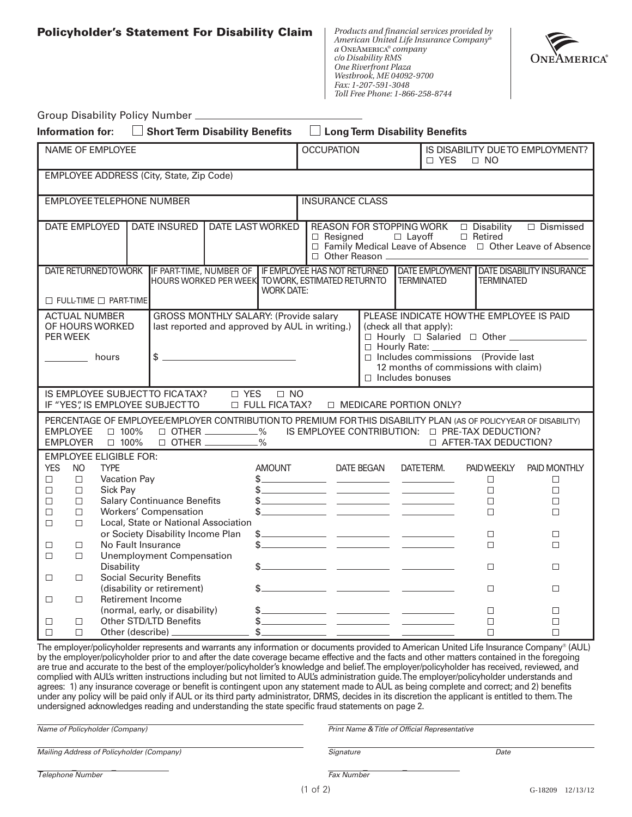**Policyholder's Statement For Disability Claim**

*Products and financial services provided by American United Life Insurance Company® a* OneAmerica*® company c/o Disability RMS One Riverfront Plaza Westbrook, ME 04092-9700 Fax: 1-207-591-3048 Toll Free Phone: 1-866-258-8744*



|                                                                                                                                                                                                                                                                                                                                                                                                                                                                                                                                                                                                                                                                                                                                                                |                                                                  |                                                                                 | Group Disability Policy Number _                                                                           |                                                       |                                                                                                                                                                   |  |                        |            |                                                                                                                                                                                                                                                                                                                                                                                                                                                                                                                                                                                                                                                                                                                                                                                                                                                                                              |                                                                                                                                                                                                    |                                                                                                                     |
|----------------------------------------------------------------------------------------------------------------------------------------------------------------------------------------------------------------------------------------------------------------------------------------------------------------------------------------------------------------------------------------------------------------------------------------------------------------------------------------------------------------------------------------------------------------------------------------------------------------------------------------------------------------------------------------------------------------------------------------------------------------|------------------------------------------------------------------|---------------------------------------------------------------------------------|------------------------------------------------------------------------------------------------------------|-------------------------------------------------------|-------------------------------------------------------------------------------------------------------------------------------------------------------------------|--|------------------------|------------|----------------------------------------------------------------------------------------------------------------------------------------------------------------------------------------------------------------------------------------------------------------------------------------------------------------------------------------------------------------------------------------------------------------------------------------------------------------------------------------------------------------------------------------------------------------------------------------------------------------------------------------------------------------------------------------------------------------------------------------------------------------------------------------------------------------------------------------------------------------------------------------------|----------------------------------------------------------------------------------------------------------------------------------------------------------------------------------------------------|---------------------------------------------------------------------------------------------------------------------|
| Information for:                                                                                                                                                                                                                                                                                                                                                                                                                                                                                                                                                                                                                                                                                                                                               |                                                                  |                                                                                 | Short Term Disability Benefits                                                                             |                                                       |                                                                                                                                                                   |  |                        |            | $\Box$ Long Term Disability Benefits                                                                                                                                                                                                                                                                                                                                                                                                                                                                                                                                                                                                                                                                                                                                                                                                                                                         |                                                                                                                                                                                                    |                                                                                                                     |
|                                                                                                                                                                                                                                                                                                                                                                                                                                                                                                                                                                                                                                                                                                                                                                |                                                                  | NAME OF EMPLOYEE                                                                |                                                                                                            |                                                       |                                                                                                                                                                   |  | <b>OCCUPATION</b>      |            | □ YES                                                                                                                                                                                                                                                                                                                                                                                                                                                                                                                                                                                                                                                                                                                                                                                                                                                                                        | $\Box$ NO                                                                                                                                                                                          | IS DISABILITY DUETO EMPLOYMENT?                                                                                     |
|                                                                                                                                                                                                                                                                                                                                                                                                                                                                                                                                                                                                                                                                                                                                                                |                                                                  |                                                                                 | EMPLOYEE ADDRESS (City, State, Zip Code)                                                                   |                                                       |                                                                                                                                                                   |  |                        |            |                                                                                                                                                                                                                                                                                                                                                                                                                                                                                                                                                                                                                                                                                                                                                                                                                                                                                              |                                                                                                                                                                                                    |                                                                                                                     |
|                                                                                                                                                                                                                                                                                                                                                                                                                                                                                                                                                                                                                                                                                                                                                                |                                                                  |                                                                                 | <b>EMPLOYEE TELEPHONE NUMBER</b>                                                                           |                                                       |                                                                                                                                                                   |  | <b>INSURANCE CLASS</b> |            |                                                                                                                                                                                                                                                                                                                                                                                                                                                                                                                                                                                                                                                                                                                                                                                                                                                                                              |                                                                                                                                                                                                    |                                                                                                                     |
| <b>DATE EMPLOYED</b><br><b>DATE INSURED</b><br><b>DATE LAST WORKED</b>                                                                                                                                                                                                                                                                                                                                                                                                                                                                                                                                                                                                                                                                                         |                                                                  |                                                                                 |                                                                                                            |                                                       | $\Box$ Dismissed<br>$\Box$ Retired<br>$\Box$ Resigned<br>$\Box$ Layoff<br>□ Family Medical Leave of Absence □ Other Leave of Absence<br>□ Other Reason __________ |  |                        |            |                                                                                                                                                                                                                                                                                                                                                                                                                                                                                                                                                                                                                                                                                                                                                                                                                                                                                              |                                                                                                                                                                                                    |                                                                                                                     |
|                                                                                                                                                                                                                                                                                                                                                                                                                                                                                                                                                                                                                                                                                                                                                                |                                                                  | $\Box$ FULL-TIME $\Box$ PART-TIME                                               | HOURS WORKED PER WEEK TO WORK, ESTIMATED RETURNTO                                                          |                                                       | <b>WORK DATE:</b>                                                                                                                                                 |  |                        |            | <b>TERMINATED</b>                                                                                                                                                                                                                                                                                                                                                                                                                                                                                                                                                                                                                                                                                                                                                                                                                                                                            | <b>TERMINATED</b>                                                                                                                                                                                  | DATE RETURNEDTOWORK IF PART-TIME, NUMBER OF IF EMPLOYEE HAS NOT RETURNED IDATE EMPLOYMENT DATE DISABILITY INSURANCE |
| <b>GROSS MONTHLY SALARY: (Provide salary</b><br>PLEASE INDICATE HOW THE EMPLOYEE IS PAID<br><b>ACTUAL NUMBER</b><br>OF HOURS WORKED<br>last reported and approved by AUL in writing.)<br>(check all that apply):<br>□ Hourly □ Salaried □ Other _______________<br>PER WEEK<br>□ Hourly Rate: ____<br>$\frac{1}{2}$ $\frac{1}{2}$ $\frac{1}{2}$ $\frac{1}{2}$ $\frac{1}{2}$ $\frac{1}{2}$ $\frac{1}{2}$ $\frac{1}{2}$ $\frac{1}{2}$ $\frac{1}{2}$ $\frac{1}{2}$ $\frac{1}{2}$ $\frac{1}{2}$ $\frac{1}{2}$ $\frac{1}{2}$ $\frac{1}{2}$ $\frac{1}{2}$ $\frac{1}{2}$ $\frac{1}{2}$ $\frac{1}{2}$ $\frac{1}{2}$ $\frac{1}{2}$<br>$\Box$ Includes commissions (Provide last<br><b>Example 10</b><br>12 months of commissions with claim)<br>$\Box$ Includes bonuses |                                                                  |                                                                                 |                                                                                                            |                                                       |                                                                                                                                                                   |  |                        |            |                                                                                                                                                                                                                                                                                                                                                                                                                                                                                                                                                                                                                                                                                                                                                                                                                                                                                              |                                                                                                                                                                                                    |                                                                                                                     |
|                                                                                                                                                                                                                                                                                                                                                                                                                                                                                                                                                                                                                                                                                                                                                                |                                                                  |                                                                                 | IF "YES", IS EMPLOYEE SUBJECTTO                                                                            |                                                       | $\Box$ NO<br><b>D</b> FULL FICATAX?                                                                                                                               |  |                        |            | $\Box$ MEDICARE PORTION ONLY?                                                                                                                                                                                                                                                                                                                                                                                                                                                                                                                                                                                                                                                                                                                                                                                                                                                                |                                                                                                                                                                                                    |                                                                                                                     |
| <b>EMPLOYEE</b><br><b>EMPLOYER</b>                                                                                                                                                                                                                                                                                                                                                                                                                                                                                                                                                                                                                                                                                                                             |                                                                  | $\Box$ 100%<br>$\Box$ 100%                                                      |                                                                                                            | $\Box$ OTHER ___________%<br>$\Box$ OTHER __________% |                                                                                                                                                                   |  |                        |            |                                                                                                                                                                                                                                                                                                                                                                                                                                                                                                                                                                                                                                                                                                                                                                                                                                                                                              | PERCENTAGE OF EMPLOYEE/EMPLOYER CONTRIBUTION TO PREMIUM FOR THIS DISABILITY PLAN (AS OF POLICYYEAR OF DISABILITY)<br>IS EMPLOYEE CONTRIBUTION: $\Box$ PRE-TAX DEDUCTION?<br>□ AFTER-TAX DEDUCTION? |                                                                                                                     |
| <b>YES</b><br>$\Box$<br>$\Box$<br>$\Box$<br>$\Box$<br>$\Box$                                                                                                                                                                                                                                                                                                                                                                                                                                                                                                                                                                                                                                                                                                   | N <sub>O</sub><br>$\Box$<br>$\Box$<br>$\Box$<br>$\Box$<br>$\Box$ | <b>EMPLOYEE ELIGIBLE FOR:</b><br><b>TYPE</b><br><b>Vacation Pay</b><br>Sick Pay | <b>Salary Continuance Benefits</b><br><b>Workers' Compensation</b><br>Local, State or National Association |                                                       | AMOUNT                                                                                                                                                            |  |                        | DATE BEGAN | DATETERM.<br>$\frac{1}{2}$ , and the set of the set of the set of the set of the set of the set of the set of the set of the set of the set of the set of the set of the set of the set of the set of the set of the set of the set of the set<br>$\frac{1}{2}$ $\frac{1}{2}$ $\frac{1}{2}$ $\frac{1}{2}$ $\frac{1}{2}$ $\frac{1}{2}$ $\frac{1}{2}$ $\frac{1}{2}$ $\frac{1}{2}$ $\frac{1}{2}$ $\frac{1}{2}$ $\frac{1}{2}$ $\frac{1}{2}$ $\frac{1}{2}$ $\frac{1}{2}$ $\frac{1}{2}$ $\frac{1}{2}$ $\frac{1}{2}$ $\frac{1}{2}$ $\frac{1}{2}$ $\frac{1}{2}$ $\frac{1}{2}$<br>$\frac{1}{2}$ $\frac{1}{2}$ $\frac{1}{2}$ $\frac{1}{2}$ $\frac{1}{2}$ $\frac{1}{2}$ $\frac{1}{2}$ $\frac{1}{2}$ $\frac{1}{2}$ $\frac{1}{2}$ $\frac{1}{2}$ $\frac{1}{2}$ $\frac{1}{2}$ $\frac{1}{2}$ $\frac{1}{2}$ $\frac{1}{2}$ $\frac{1}{2}$ $\frac{1}{2}$ $\frac{1}{2}$ $\frac{1}{2}$ $\frac{1}{2}$ $\frac{1}{2}$ | <b>PAID WEEKLY</b><br>$\Box$<br>$\Box$<br>$\Box$<br>$\Box$                                                                                                                                         | PAID MONTHLY<br>$\Box$<br>$\Box$<br>$\Box$<br>$\Box$                                                                |
| $\Box$<br>$\Box$                                                                                                                                                                                                                                                                                                                                                                                                                                                                                                                                                                                                                                                                                                                                               | $\Box$<br>$\Box$                                                 | No Fault Insurance                                                              | or Society Disability Income Plan<br><b>Unemployment Compensation</b>                                      |                                                       |                                                                                                                                                                   |  |                        |            | $$$ $\overline{\hspace{1.5cm}}$ $\overline{\hspace{1.5cm}}$ $\overline{\hspace{1.5cm}}$ $\overline{\hspace{1.5cm}}$ $\overline{\hspace{1.5cm}}$ $\overline{\hspace{1.5cm}}$ $\overline{\hspace{1.5cm}}$ $\overline{\hspace{1.5cm}}$ $\overline{\hspace{1.5cm}}$ $\overline{\hspace{1.5cm}}$ $\overline{\hspace{1.5cm}}$ $\overline{\hspace{1.5cm}}$ $\overline{\hspace{1.5cm}}$ $\overline{\hspace{1.5cm}}$ $\overline{\hspace$<br>$\frac{1}{2}$                                                                                                                                                                                                                                                                                                                                                                                                                                             | $\Box$<br>$\Box$                                                                                                                                                                                   | $\Box$<br>$\Box$                                                                                                    |
| $\Box$                                                                                                                                                                                                                                                                                                                                                                                                                                                                                                                                                                                                                                                                                                                                                         | $\Box$                                                           | Disability                                                                      | <b>Social Security Benefits</b>                                                                            |                                                       |                                                                                                                                                                   |  |                        |            | $\frac{1}{2}$ $\frac{1}{2}$ $\frac{1}{2}$ $\frac{1}{2}$ $\frac{1}{2}$ $\frac{1}{2}$ $\frac{1}{2}$ $\frac{1}{2}$ $\frac{1}{2}$ $\frac{1}{2}$ $\frac{1}{2}$ $\frac{1}{2}$ $\frac{1}{2}$ $\frac{1}{2}$ $\frac{1}{2}$ $\frac{1}{2}$ $\frac{1}{2}$ $\frac{1}{2}$ $\frac{1}{2}$ $\frac{1}{2}$ $\frac{1}{2}$ $\frac{1}{2}$                                                                                                                                                                                                                                                                                                                                                                                                                                                                                                                                                                          | $\Box$                                                                                                                                                                                             | $\Box$                                                                                                              |
| $\Box$                                                                                                                                                                                                                                                                                                                                                                                                                                                                                                                                                                                                                                                                                                                                                         | $\Box$                                                           | Retirement Income                                                               | (disability or retirement)                                                                                 |                                                       | \$_                                                                                                                                                               |  |                        |            |                                                                                                                                                                                                                                                                                                                                                                                                                                                                                                                                                                                                                                                                                                                                                                                                                                                                                              | $\Box$                                                                                                                                                                                             | $\Box$                                                                                                              |
| П<br>$\Box$                                                                                                                                                                                                                                                                                                                                                                                                                                                                                                                                                                                                                                                                                                                                                    | $\Box$<br>$\Box$                                                 |                                                                                 | (normal, early, or disability)<br>Other STD/LTD Benefits<br>Other (describe) ________________              |                                                       | \$_                                                                                                                                                               |  |                        |            |                                                                                                                                                                                                                                                                                                                                                                                                                                                                                                                                                                                                                                                                                                                                                                                                                                                                                              | $\Box$<br>$\Box$<br>$\Box$                                                                                                                                                                         | $\Box$<br>$\Box$<br>$\Box$                                                                                          |

The employer/policyholder represents and warrants any information or documents provided to American United Life Insurance Company® (AUL) by the employer/policyholder prior to and after the date coverage became effective and the facts and other matters contained in the foregoing are true and accurate to the best of the employer/policyholder's knowledge and belief. The employer/policyholder has received, reviewed, and complied with AUL's written instructions including but not limited to AUL's administration guide. The employer/policyholder understands and agrees: 1) any insurance coverage or benefit is contingent upon any statement made to AUL as being complete and correct; and 2) benefits under any policy will be paid only if AUL or its third party administrator, DRMS, decides in its discretion the applicant is entitled to them. The undersigned acknowledges reading and understanding the state specific fraud statements on page 2.

| Name of Policyholder (Company)            | Print Name & Title of Official Representative |      |                     |
|-------------------------------------------|-----------------------------------------------|------|---------------------|
| Mailing Address of Policyholder (Company) | Signature                                     | Date |                     |
| Telephone Number                          | <b>Fax Number</b>                             |      |                     |
|                                           | (1 of 2)                                      |      | 12/13/12<br>G-18209 |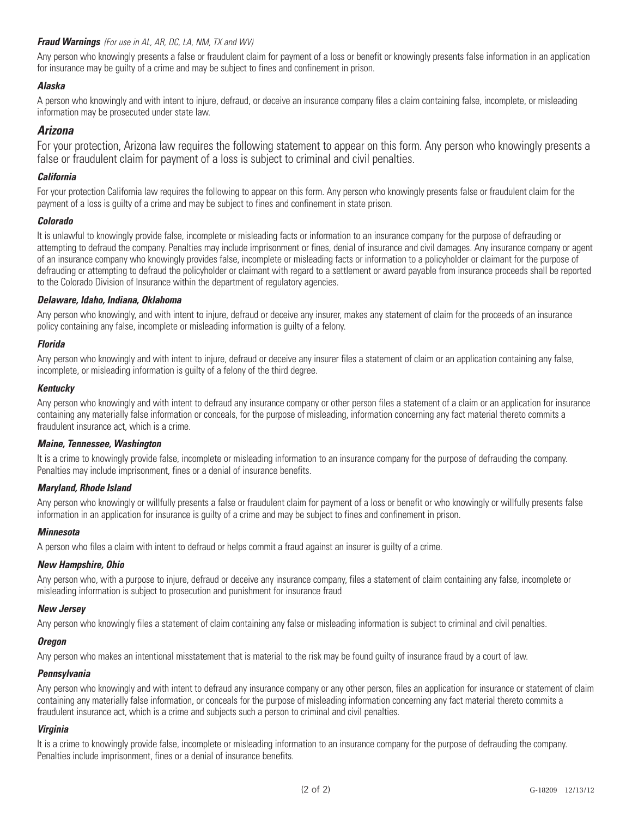Any person who knowingly presents a false or fraudulent claim for payment of a loss or benefit or knowingly presents false information in an application for insurance may be guilty of a crime and may be subject to fines and confinement in prison.

## *Alaska*

A person who knowingly and with intent to injure, defraud, or deceive an insurance company files a claim containing false, incomplete, or misleading information may be prosecuted under state law.

## *Arizona*

For your protection, Arizona law requires the following statement to appear on this form. Any person who knowingly presents a false or fraudulent claim for payment of a loss is subject to criminal and civil penalties.

## *California*

For your protection California law requires the following to appear on this form. Any person who knowingly presents false or fraudulent claim for the payment of a loss is guilty of a crime and may be subject to fines and confinement in state prison.

## *Colorado*

It is unlawful to knowingly provide false, incomplete or misleading facts or information to an insurance company for the purpose of defrauding or attempting to defraud the company. Penalties may include imprisonment or fines, denial of insurance and civil damages. Any insurance company or agent of an insurance company who knowingly provides false, incomplete or misleading facts or information to a policyholder or claimant for the purpose of defrauding or attempting to defraud the policyholder or claimant with regard to a settlement or award payable from insurance proceeds shall be reported to the Colorado Division of Insurance within the department of regulatory agencies.

## *Delaware, Idaho, Indiana, Oklahoma*

Any person who knowingly, and with intent to injure, defraud or deceive any insurer, makes any statement of claim for the proceeds of an insurance policy containing any false, incomplete or misleading information is guilty of a felony.

## *Florida*

Any person who knowingly and with intent to injure, defraud or deceive any insurer files a statement of claim or an application containing any false, incomplete, or misleading information is guilty of a felony of the third degree.

## *Kentucky*

Any person who knowingly and with intent to defraud any insurance company or other person files a statement of a claim or an application for insurance containing any materially false information or conceals, for the purpose of misleading, information concerning any fact material thereto commits a fraudulent insurance act, which is a crime.

## *Maine, Tennessee, Washington*

It is a crime to knowingly provide false, incomplete or misleading information to an insurance company for the purpose of defrauding the company. Penalties may include imprisonment, fines or a denial of insurance benefits.

## *Maryland, Rhode Island*

Any person who knowingly or willfully presents a false or fraudulent claim for payment of a loss or benefit or who knowingly or willfully presents false information in an application for insurance is guilty of a crime and may be subject to fines and confinement in prison.

## *Minnesota*

A person who files a claim with intent to defraud or helps commit a fraud against an insurer is guilty of a crime.

## *New Hampshire, Ohio*

Any person who, with a purpose to injure, defraud or deceive any insurance company, files a statement of claim containing any false, incomplete or misleading information is subject to prosecution and punishment for insurance fraud

## *New Jersey*

Any person who knowingly files a statement of claim containing any false or misleading information is subject to criminal and civil penalties.

## *Oregon*

Any person who makes an intentional misstatement that is material to the risk may be found guilty of insurance fraud by a court of law.

## *Pennsylvania*

Any person who knowingly and with intent to defraud any insurance company or any other person, files an application for insurance or statement of claim containing any materially false information, or conceals for the purpose of misleading information concerning any fact material thereto commits a fraudulent insurance act, which is a crime and subjects such a person to criminal and civil penalties.

## *Virginia*

It is a crime to knowingly provide false, incomplete or misleading information to an insurance company for the purpose of defrauding the company. Penalties include imprisonment, fines or a denial of insurance benefits.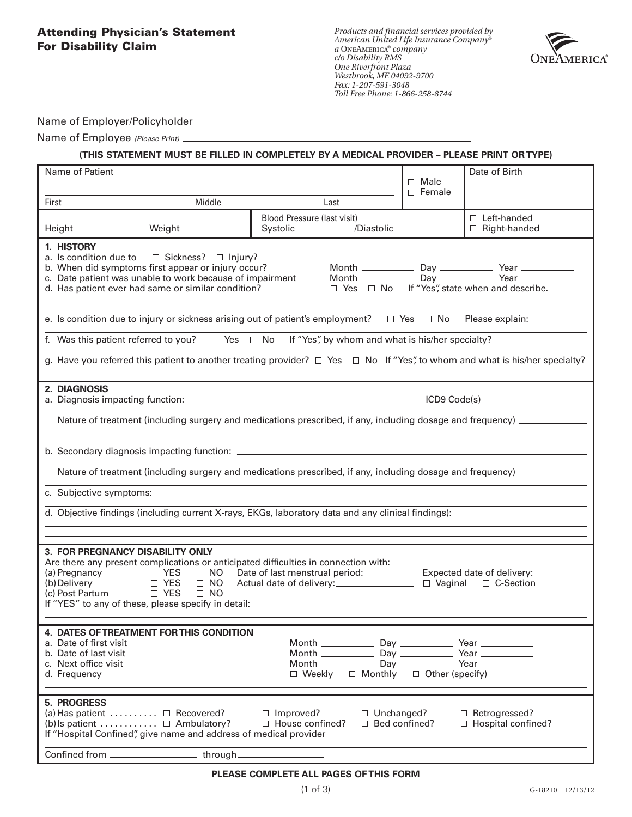## **Attending Physician's Statement For Disability Claim**

*Products and financial services provided by American United Life Insurance Company® a* OneAmerica*® company c/o Disability RMS One Riverfront Plaza Westbrook, ME 04092-9700 Fax: 1-207-591-3048 Toll Free Phone: 1-866-258-8744*



Name of Employer/Policyholder

Name of Employee *(Please Print)*

#### **(THIS STATEMENT MUST BE FILLED IN COMPLETELY BY A MEDICAL PROVIDER – PLEASE PRINT OR TYPE)**

| Name of Patient                                                                                                                                                                                                                                                                                                                                                                                                                                                                         |                                                                                         | $\Box$ Male                           | Date of Birth                                           |  |  |  |
|-----------------------------------------------------------------------------------------------------------------------------------------------------------------------------------------------------------------------------------------------------------------------------------------------------------------------------------------------------------------------------------------------------------------------------------------------------------------------------------------|-----------------------------------------------------------------------------------------|---------------------------------------|---------------------------------------------------------|--|--|--|
|                                                                                                                                                                                                                                                                                                                                                                                                                                                                                         |                                                                                         |                                       |                                                         |  |  |  |
| Middle<br>First                                                                                                                                                                                                                                                                                                                                                                                                                                                                         | Last                                                                                    |                                       |                                                         |  |  |  |
| Height __________                                                                                                                                                                                                                                                                                                                                                                                                                                                                       | Blood Pressure (last visit)<br>Systolic ___________ /Diastolic ________                 |                                       | $\Box$ Left-handed<br>$\Box$ Right-handed               |  |  |  |
| 1. HISTORY<br>a. Is condition due to $\Box$ Sickness? $\Box$ Injury?<br>b. When did symptoms first appear or injury occur?<br>c. Date patient was unable to work because of impairment<br>d. Has patient ever had same or similar condition?<br>e. Is condition due to injury or sickness arising out of patient's employment? $\Box$ Yes $\Box$ No Please explain:<br>f. Was this patient referred to you? $\square$ Yes $\square$ No If "Yes", by whom and what is his/her specialty? |                                                                                         |                                       | $\Box$ Yes $\Box$ No If "Yes", state when and describe. |  |  |  |
| g. Have you referred this patient to another treating provider? $\Box$ Yes $\Box$ No If "Yes", to whom and what is his/her specialty?                                                                                                                                                                                                                                                                                                                                                   |                                                                                         |                                       |                                                         |  |  |  |
| 2. DIAGNOSIS<br>ICD9 Code(s) _______________________<br>Nature of treatment (including surgery and medications prescribed, if any, including dosage and frequency) _________<br>Nature of treatment (including surgery and medications prescribed, if any, including dosage and frequency) _________<br><u> 1989 - Johann Stoff, deutscher Stoff, der Stoff, der Stoff, der Stoff, der Stoff, der Stoff, der Stoff, der S</u>                                                           |                                                                                         |                                       |                                                         |  |  |  |
|                                                                                                                                                                                                                                                                                                                                                                                                                                                                                         |                                                                                         |                                       |                                                         |  |  |  |
| 3. FOR PREGNANCY DISABILITY ONLY<br>Are there any present complications or anticipated difficulties in connection with:<br>(a) Pregnancy $\Box$ YES $\Box$ NO<br>(b) Delivery $\Box$ YES $\Box$ NO<br>$\Box$ YES<br>$\Box$ NO<br>(b) Delivery<br>(c) Post Partum □ YES<br>$\square$ NO                                                                                                                                                                                                  | Date of last menstrual period: _____________ Expected date of delivery: _________       |                                       |                                                         |  |  |  |
| 4. DATES OF TREATMENT FOR THIS CONDITION<br>a. Date of first visit<br>b. Date of last visit<br>c. Next office visit<br>d. Frequency                                                                                                                                                                                                                                                                                                                                                     | $\Box$ Weekly                                                                           | $\Box$ Monthly $\Box$ Other (specify) |                                                         |  |  |  |
| 5. PROGRESS<br>$(a)$ Has patient $\dots \dots \dots$ D Recovered?<br>(b) Is patient $\Box$ Ambulatory?<br>If "Hospital Confined", give name and address of medical provider ______________<br>Confined from ________________________through___                                                                                                                                                                                                                                          | $\Box$ Improved?<br>$\Box$ Unchanged?<br>$\Box$ House confined?<br>$\Box$ Bed confined? |                                       | □ Retrogressed?<br>$\Box$ Hospital confined?            |  |  |  |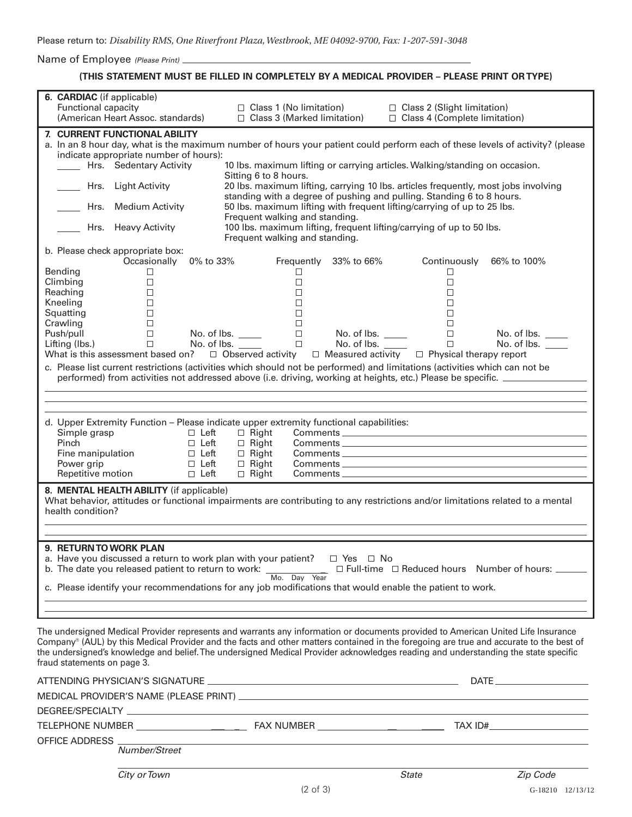Name of Employee *(Please Print)*

## **(THIS STATEMENT MUST BE FILLED IN COMPLETELY BY A MEDICAL PROVIDER – PLEASE PRINT OR TYPE)**

| 6. CARDIAC (if applicable)<br>Functional capacity<br>(American Heart Assoc. standards)                                                                                                                                                                                                                                                                                                                            | $\Box$ Class 1 (No limitation)<br>$\Box$ Class 3 (Marked limitation)                                                                                        | $\Box$ Class 2 (Slight limitation)<br>□ Class 4 (Complete limitation) |             |  |  |  |  |  |
|-------------------------------------------------------------------------------------------------------------------------------------------------------------------------------------------------------------------------------------------------------------------------------------------------------------------------------------------------------------------------------------------------------------------|-------------------------------------------------------------------------------------------------------------------------------------------------------------|-----------------------------------------------------------------------|-------------|--|--|--|--|--|
| 7. CURRENT FUNCTIONAL ABILITY<br>indicate appropriate number of hours):                                                                                                                                                                                                                                                                                                                                           | a. In an 8 hour day, what is the maximum number of hours your patient could perform each of these levels of activity? (please                               |                                                                       |             |  |  |  |  |  |
| Hrs. Sedentary Activity                                                                                                                                                                                                                                                                                                                                                                                           | 10 lbs. maximum lifting or carrying articles. Walking/standing on occasion.<br>Sitting 6 to 8 hours.                                                        |                                                                       |             |  |  |  |  |  |
| Hrs. Light Activity                                                                                                                                                                                                                                                                                                                                                                                               | 20 lbs. maximum lifting, carrying 10 lbs. articles frequently, most jobs involving<br>standing with a degree of pushing and pulling. Standing 6 to 8 hours. |                                                                       |             |  |  |  |  |  |
| Hrs. Medium Activity                                                                                                                                                                                                                                                                                                                                                                                              | 50 lbs. maximum lifting with frequent lifting/carrying of up to 25 lbs.                                                                                     |                                                                       |             |  |  |  |  |  |
| Hrs. Heavy Activity                                                                                                                                                                                                                                                                                                                                                                                               | Frequent walking and standing.<br>100 lbs. maximum lifting, frequent lifting/carrying of up to 50 lbs.<br>Frequent walking and standing.                    |                                                                       |             |  |  |  |  |  |
| b. Please check appropriate box:<br>Occasionally 0% to 33%                                                                                                                                                                                                                                                                                                                                                        | Frequently 33% to 66%                                                                                                                                       | Continuously 66% to 100%                                              |             |  |  |  |  |  |
| <b>Bending</b><br>□                                                                                                                                                                                                                                                                                                                                                                                               | □                                                                                                                                                           | $\Box$                                                                |             |  |  |  |  |  |
| Climbing<br>$\Box$                                                                                                                                                                                                                                                                                                                                                                                                | П                                                                                                                                                           | $\Box$                                                                |             |  |  |  |  |  |
| Reaching<br>$\Box$                                                                                                                                                                                                                                                                                                                                                                                                | $\Box$                                                                                                                                                      | $\Box$                                                                |             |  |  |  |  |  |
| Kneeling<br>□                                                                                                                                                                                                                                                                                                                                                                                                     | $\Box$                                                                                                                                                      | $\Box$                                                                |             |  |  |  |  |  |
| Squatting<br>$\Box$                                                                                                                                                                                                                                                                                                                                                                                               | П                                                                                                                                                           | $\Box$                                                                |             |  |  |  |  |  |
| Crawling<br>$\Box$                                                                                                                                                                                                                                                                                                                                                                                                | $\Box$                                                                                                                                                      | $\Box$                                                                |             |  |  |  |  |  |
| Push/pull<br>$\Box$                                                                                                                                                                                                                                                                                                                                                                                               | No. of lbs. $\_\_$<br>$\Box$<br>No. of lbs. $\_\_$                                                                                                          | $\Box$                                                                | No. of lbs. |  |  |  |  |  |
| $\Box$<br>Lifting (lbs.)<br>What is this assessment based on? $\Box$ Observed activity                                                                                                                                                                                                                                                                                                                            | No. of lbs.<br>$\Box$<br>No. of lbs. ____                                                                                                                   | $\Box$                                                                | No. of lbs. |  |  |  |  |  |
|                                                                                                                                                                                                                                                                                                                                                                                                                   |                                                                                                                                                             | $\Box$ Measured activity $\Box$ Physical therapy report               |             |  |  |  |  |  |
| c. Please list current restrictions (activities which should not be performed) and limitations (activities which can not be                                                                                                                                                                                                                                                                                       | performed) from activities not addressed above (i.e. driving, working at heights, etc.) Please be specific. ___________________________                     |                                                                       |             |  |  |  |  |  |
|                                                                                                                                                                                                                                                                                                                                                                                                                   |                                                                                                                                                             |                                                                       |             |  |  |  |  |  |
|                                                                                                                                                                                                                                                                                                                                                                                                                   |                                                                                                                                                             |                                                                       |             |  |  |  |  |  |
| d. Upper Extremity Function - Please indicate upper extremity functional capabilities:<br>Simple grasp<br>$\Box$ Left                                                                                                                                                                                                                                                                                             | $\Box$ Right                                                                                                                                                |                                                                       |             |  |  |  |  |  |
| Pinch<br>$\Box$ Left                                                                                                                                                                                                                                                                                                                                                                                              | $\Box$ Right                                                                                                                                                |                                                                       |             |  |  |  |  |  |
| $\Box$ Left<br>Fine manipulation                                                                                                                                                                                                                                                                                                                                                                                  | $\Box$ Right                                                                                                                                                |                                                                       |             |  |  |  |  |  |
| Power grip<br>$\Box$ Left                                                                                                                                                                                                                                                                                                                                                                                         | $\Box$ Right                                                                                                                                                |                                                                       |             |  |  |  |  |  |
| Repetitive motion<br>$\Box$ Left                                                                                                                                                                                                                                                                                                                                                                                  | $\Box$ Right                                                                                                                                                |                                                                       |             |  |  |  |  |  |
|                                                                                                                                                                                                                                                                                                                                                                                                                   |                                                                                                                                                             |                                                                       |             |  |  |  |  |  |
| 8. MENTAL HEALTH ABILITY (if applicable)<br>What behavior, attitudes or functional impairments are contributing to any restrictions and/or limitations related to a mental<br>health condition?                                                                                                                                                                                                                   |                                                                                                                                                             |                                                                       |             |  |  |  |  |  |
|                                                                                                                                                                                                                                                                                                                                                                                                                   |                                                                                                                                                             |                                                                       |             |  |  |  |  |  |
| <b>9. RETURN TO WORK PLAN</b>                                                                                                                                                                                                                                                                                                                                                                                     |                                                                                                                                                             |                                                                       |             |  |  |  |  |  |
| a. Have you discussed a return to work plan with your patient? $\square$ Yes $\square$ No                                                                                                                                                                                                                                                                                                                         |                                                                                                                                                             |                                                                       |             |  |  |  |  |  |
|                                                                                                                                                                                                                                                                                                                                                                                                                   |                                                                                                                                                             |                                                                       |             |  |  |  |  |  |
| b. The date you released patient to return to work: $\frac{1}{\sqrt{1-\frac{1}{1-\frac{1}{1-\frac{1}{1-\frac{1}{1-\frac{1}{1-\frac{1}{1-\frac{1}{1-\frac{1}{1-\frac{1}{1-\frac{1}{1-\frac{1}{1-\frac{1}{1-\frac{1}{1-\frac{1}{1-\frac{1}{1-\frac{1}{1-\frac{1}{1-\frac{1}{1-\frac{1}{1-\frac{1}{1-\frac{1}{1-\frac{1}{1-\frac{1}{1-\frac{1}{1-\frac{1}{1-\frac{1}{1-\frac{$                                       |                                                                                                                                                             |                                                                       |             |  |  |  |  |  |
| c. Please identify your recommendations for any job modifications that would enable the patient to work.                                                                                                                                                                                                                                                                                                          |                                                                                                                                                             |                                                                       |             |  |  |  |  |  |
|                                                                                                                                                                                                                                                                                                                                                                                                                   |                                                                                                                                                             |                                                                       |             |  |  |  |  |  |
|                                                                                                                                                                                                                                                                                                                                                                                                                   |                                                                                                                                                             |                                                                       |             |  |  |  |  |  |
| The undersigned Medical Provider represents and warrants any information or documents provided to American United Life Insurance<br>Company® (AUL) by this Medical Provider and the facts and other matters contained in the foregoing are true and accurate to the best of<br>the undersigned's knowledge and belief. The undersigned Medical Provider acknowledges reading and understanding the state specific |                                                                                                                                                             |                                                                       |             |  |  |  |  |  |
| fraud statements on page 3.                                                                                                                                                                                                                                                                                                                                                                                       |                                                                                                                                                             |                                                                       |             |  |  |  |  |  |
|                                                                                                                                                                                                                                                                                                                                                                                                                   |                                                                                                                                                             |                                                                       |             |  |  |  |  |  |
|                                                                                                                                                                                                                                                                                                                                                                                                                   |                                                                                                                                                             |                                                                       |             |  |  |  |  |  |
|                                                                                                                                                                                                                                                                                                                                                                                                                   |                                                                                                                                                             |                                                                       |             |  |  |  |  |  |
|                                                                                                                                                                                                                                                                                                                                                                                                                   |                                                                                                                                                             |                                                                       |             |  |  |  |  |  |
| OFFICE ADDRESS _<br>Number/Street                                                                                                                                                                                                                                                                                                                                                                                 |                                                                                                                                                             |                                                                       |             |  |  |  |  |  |
|                                                                                                                                                                                                                                                                                                                                                                                                                   |                                                                                                                                                             |                                                                       |             |  |  |  |  |  |
| City or Town                                                                                                                                                                                                                                                                                                                                                                                                      |                                                                                                                                                             | State                                                                 | Zip Code    |  |  |  |  |  |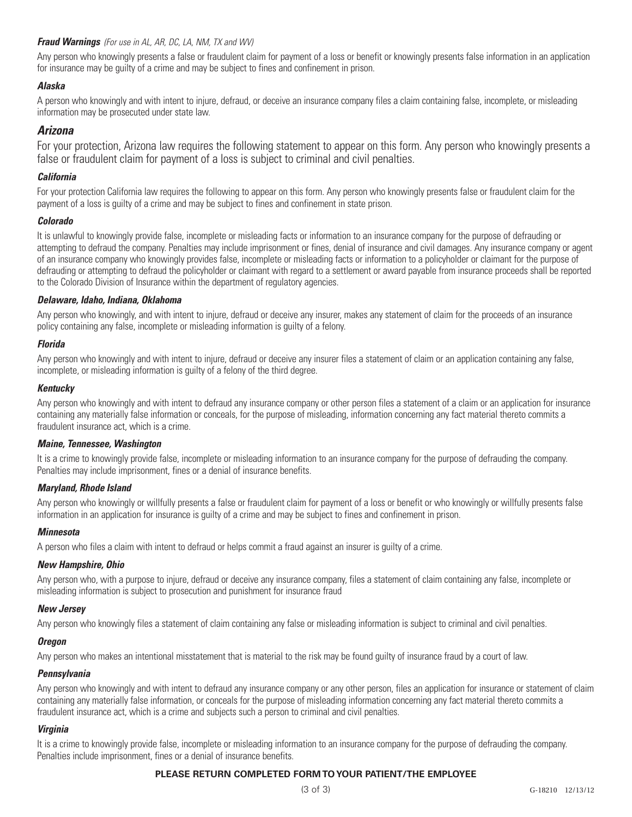Any person who knowingly presents a false or fraudulent claim for payment of a loss or benefit or knowingly presents false information in an application for insurance may be guilty of a crime and may be subject to fines and confinement in prison.

## *Alaska*

A person who knowingly and with intent to injure, defraud, or deceive an insurance company files a claim containing false, incomplete, or misleading information may be prosecuted under state law.

## *Arizona*

For your protection, Arizona law requires the following statement to appear on this form. Any person who knowingly presents a false or fraudulent claim for payment of a loss is subject to criminal and civil penalties.

## *California*

For your protection California law requires the following to appear on this form. Any person who knowingly presents false or fraudulent claim for the payment of a loss is guilty of a crime and may be subject to fines and confinement in state prison.

## *Colorado*

It is unlawful to knowingly provide false, incomplete or misleading facts or information to an insurance company for the purpose of defrauding or attempting to defraud the company. Penalties may include imprisonment or fines, denial of insurance and civil damages. Any insurance company or agent of an insurance company who knowingly provides false, incomplete or misleading facts or information to a policyholder or claimant for the purpose of defrauding or attempting to defraud the policyholder or claimant with regard to a settlement or award payable from insurance proceeds shall be reported to the Colorado Division of Insurance within the department of regulatory agencies.

## *Delaware, Idaho, Indiana, Oklahoma*

Any person who knowingly, and with intent to injure, defraud or deceive any insurer, makes any statement of claim for the proceeds of an insurance policy containing any false, incomplete or misleading information is guilty of a felony.

## *Florida*

Any person who knowingly and with intent to injure, defraud or deceive any insurer files a statement of claim or an application containing any false, incomplete, or misleading information is guilty of a felony of the third degree.

## *Kentucky*

Any person who knowingly and with intent to defraud any insurance company or other person files a statement of a claim or an application for insurance containing any materially false information or conceals, for the purpose of misleading, information concerning any fact material thereto commits a fraudulent insurance act, which is a crime.

## *Maine, Tennessee, Washington*

It is a crime to knowingly provide false, incomplete or misleading information to an insurance company for the purpose of defrauding the company. Penalties may include imprisonment, fines or a denial of insurance benefits.

## *Maryland, Rhode Island*

Any person who knowingly or willfully presents a false or fraudulent claim for payment of a loss or benefit or who knowingly or willfully presents false information in an application for insurance is guilty of a crime and may be subject to fines and confinement in prison.

## *Minnesota*

A person who files a claim with intent to defraud or helps commit a fraud against an insurer is guilty of a crime.

## *New Hampshire, Ohio*

Any person who, with a purpose to injure, defraud or deceive any insurance company, files a statement of claim containing any false, incomplete or misleading information is subject to prosecution and punishment for insurance fraud

## *New Jersey*

Any person who knowingly files a statement of claim containing any false or misleading information is subject to criminal and civil penalties.

## *Oregon*

Any person who makes an intentional misstatement that is material to the risk may be found guilty of insurance fraud by a court of law.

## *Pennsylvania*

Any person who knowingly and with intent to defraud any insurance company or any other person, files an application for insurance or statement of claim containing any materially false information, or conceals for the purpose of misleading information concerning any fact material thereto commits a fraudulent insurance act, which is a crime and subjects such a person to criminal and civil penalties.

## *Virginia*

It is a crime to knowingly provide false, incomplete or misleading information to an insurance company for the purpose of defrauding the company. Penalties include imprisonment, fines or a denial of insurance benefits.

## **PLEASE RETURN COMPLETED FORM TO YOUR PATIENT/THE EMPLOYEE**